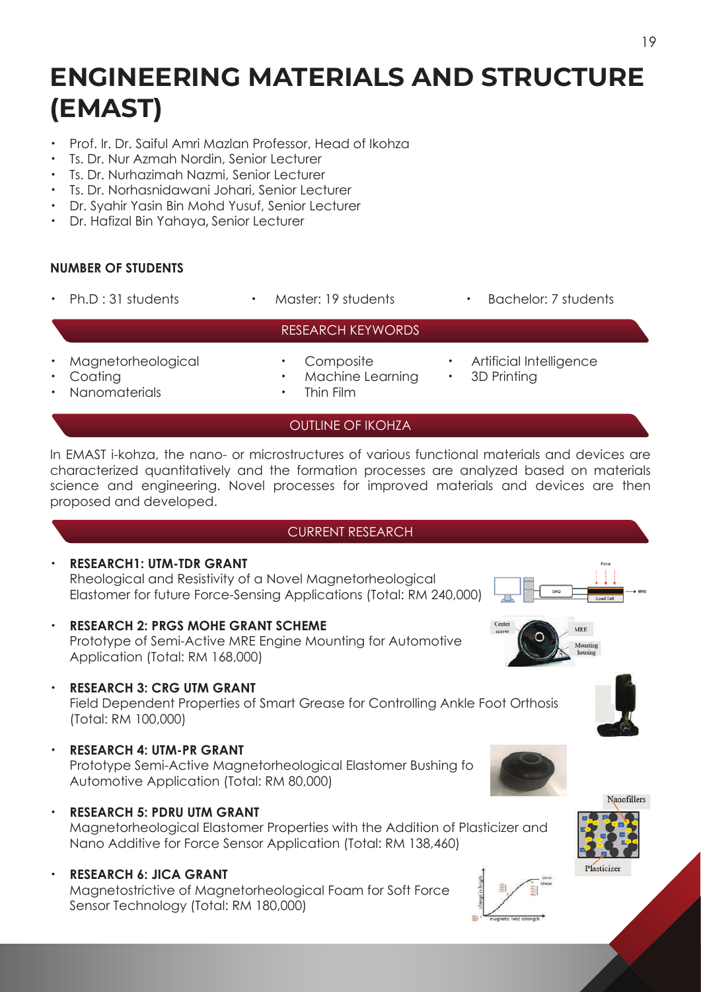# **ENGINEERING MATERIALS AND STRUCTURE (EMAST)**

- ・ Prof. Ir. Dr. Saiful Amri Mazlan Professor, Head of Ikohza
- Ts. Dr. Nur Azmah Nordin, Senior Lecturer
- **Ts. Dr. Nurhazimah Nazmi, Senior Lecturer**
- ・ Ts. Dr. Norhasnidawani Johari, Senior Lecturer
- ・ Dr. Syahir Yasin Bin Mohd Yusuf, Senior Lecturer
- ・ Dr. Hafizal Bin Yahaya, Senior Lecturer

### **NUMBER OF STUDENTS**

- 
- 
- Ph.D : 31 students Master: 19 students Bachelor: 7 students
- Magnetorheological · Composite · Artificial Intelligence
- RESEARCH KEYWORDS
- - Coating  **Machine Learning 3D Printing**
- 
- - Nanomaterials **·** Thin Film
		- OUTLINE OF IKOHZA

In EMAST i-kohza, the nano- or microstructures of various functional materials and devices are characterized quantitatively and the formation processes are analyzed based on materials science and engineering. Novel processes for improved materials and devices are then proposed and developed.

#### CURRENT RESEARCH

・ **RESEARCH1: UTM-TDR GRANT** Rheological and Resistivity of a Novel Magnetorheological Elastomer for future Force-Sensing Applications (Total: RM 240,000)

- **RESEARCH 2: PRGS MOHE GRANT SCHEME**  Prototype of Semi-Active MRE Engine Mounting for Automotive Application (Total: RM 168,000)
- **RESEARCH 3: CRG UTM GRANT**

 Field Dependent Properties of Smart Grease for Controlling Ankle Foot Orthosis (Total: RM 100,000)

- ・ **RESEARCH 4: UTM-PR GRANT** Prototype Semi-Active Magnetorheological Elastomer Bushing fo Automotive Application (Total: RM 80,000)
- **RESEARCH 5: PDRU UTM GRANT**

 Magnetorheological Elastomer Properties with the Addition of Plasticizer and Nano Additive for Force Sensor Application (Total: RM 138,460)

・ **RESEARCH 6: JICA GRANT** Magnetostrictive of Magnetorheological Foam for Soft Force Sensor Technology (Total: RM 180,000)





Plasticizer